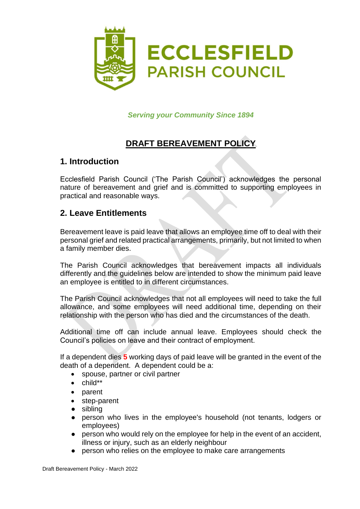

*Serving your Community Since 1894*

# **DRAFT BEREAVEMENT POLICY**

#### **1. Introduction**

Ecclesfield Parish Council ('The Parish Council') acknowledges the personal nature of bereavement and grief and is committed to supporting employees in practical and reasonable ways.

#### **2. Leave Entitlements**

Bereavement leave is paid leave that allows an employee time off to deal with their personal grief and related practical arrangements, primarily, but not limited to when a family member dies.

The Parish Council acknowledges that bereavement impacts all individuals differently and the guidelines below are intended to show the minimum paid leave an employee is entitled to in different circumstances.

The Parish Council acknowledges that not all employees will need to take the full allowance, and some employees will need additional time, depending on their relationship with the person who has died and the circumstances of the death.

Additional time off can include annual leave. Employees should check the Council's policies on leave and their contract of employment.

If a dependent dies **5** working days of paid leave will be granted in the event of the death of a dependent. A dependent could be a:

- spouse, partner or civil partner
- child\*\*
- parent
- step-parent
- sibling
- person who lives in the employee's household (not tenants, lodgers or employees)
- person who would rely on the employee for help in the event of an accident, illness or injury, such as an elderly neighbour
- person who relies on the employee to make care arrangements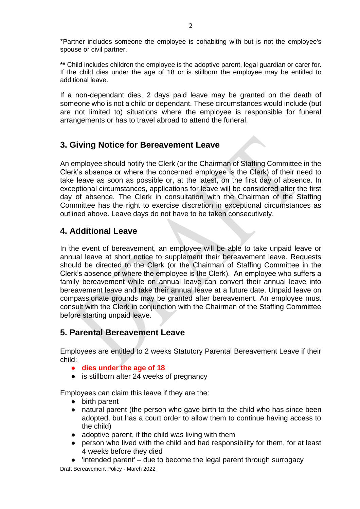\*Partner includes someone the employee is cohabiting with but is not the employee's spouse or civil partner.

2

**\*\*** Child includes children the employee is the adoptive parent, legal guardian or carer for. If the child dies under the age of 18 or is stillborn the employee may be entitled to additional leave.

If a non-dependant dies, **2** days paid leave may be granted on the death of someone who is not a child or dependant. These circumstances would include (but are not limited to) situations where the employee is responsible for funeral arrangements or has to travel abroad to attend the funeral.

### **3. Giving Notice for Bereavement Leave**

An employee should notify the Clerk (or the Chairman of Staffing Committee in the Clerk's absence or where the concerned employee is the Clerk) of their need to take leave as soon as possible or, at the latest, on the first day of absence. In exceptional circumstances, applications for leave will be considered after the first day of absence. The Clerk in consultation with the Chairman of the Staffing Committee has the right to exercise discretion in exceptional circumstances as outlined above. Leave days do not have to be taken consecutively.

## **4. Additional Leave**

In the event of bereavement, an employee will be able to take unpaid leave or annual leave at short notice to supplement their bereavement leave. Requests should be directed to the Clerk (or the Chairman of Staffing Committee in the Clerk's absence or where the employee is the Clerk). An employee who suffers a family bereavement while on annual leave can convert their annual leave into bereavement leave and take their annual leave at a future date. Unpaid leave on compassionate grounds may be granted after bereavement. An employee must consult with the Clerk in conjunction with the Chairman of the Staffing Committee before starting unpaid leave.

#### **5. Parental Bereavement Leave**

Employees are entitled to 2 weeks Statutory Parental Bereavement Leave if their child:

- **dies under the age of 18**
- is stillborn after 24 weeks of pregnancy

Employees can claim this leave if they are the:

- birth parent
- natural parent (the person who gave birth to the child who has since been adopted, but has a court order to allow them to continue having access to the child)
- adoptive parent, if the child was living with them
- person who lived with the child and had responsibility for them, for at least 4 weeks before they died
- $\bullet$  'intended parent' due to become the legal parent through surrogacy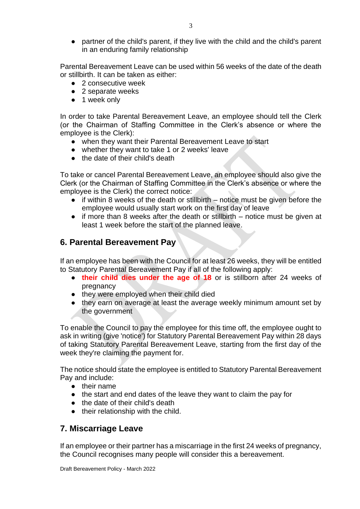● partner of the child's parent, if they live with the child and the child's parent in an enduring family relationship

Parental Bereavement Leave can be used within 56 weeks of the date of the death or stillbirth. It can be taken as either:

- 2 consecutive week
- 2 separate weeks
- 1 week only

In order to take Parental Bereavement Leave, an employee should tell the Clerk (or the Chairman of Staffing Committee in the Clerk's absence or where the employee is the Clerk):

- when they want their Parental Bereavement Leave to start
- whether they want to take 1 or 2 weeks' leave
- the date of their child's death

To take or cancel Parental Bereavement Leave, an employee should also give the Clerk (or the Chairman of Staffing Committee in the Clerk's absence or where the employee is the Clerk) the correct notice:

- if within 8 weeks of the death or stillbirth notice must be given before the employee would usually start work on the first day of leave
- if more than 8 weeks after the death or stillbirth notice must be given at least 1 week before the start of the planned leave.

### **6. Parental Bereavement Pay**

If an employee has been with the Council for at least 26 weeks, they will be entitled to Statutory Parental Bereavement Pay if all of the following apply:

- **their child dies under the age of 18** or is stillborn after 24 weeks of pregnancy
- they were employed when their child died
- they earn on average at least the average weekly minimum amount set by the government

To enable the Council to pay the employee for this time off, the employee ought to ask in writing (give 'notice') for Statutory Parental Bereavement Pay within 28 days of taking Statutory Parental Bereavement Leave, starting from the first day of the week they're claiming the payment for.

The notice should state the employee is entitled to Statutory Parental Bereavement Pay and include:

- their name
- the start and end dates of the leave they want to claim the pay for
- the date of their child's death
- their relationship with the child.

#### **7. Miscarriage Leave**

If an employee or their partner has a miscarriage in the first 24 weeks of pregnancy, the Council recognises many people will consider this a bereavement.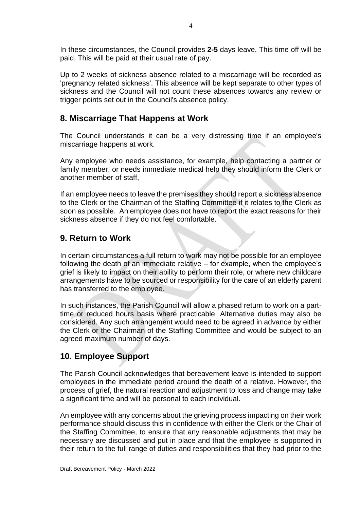In these circumstances, the Council provides **2-5** days leave. This time off will be paid. This will be paid at their usual rate of pay.

Up to 2 weeks of sickness absence related to a miscarriage will be recorded as 'pregnancy related sickness'. This absence will be kept separate to other types of sickness and the Council will not count these absences towards any review or trigger points set out in the Council's absence policy.

### **8. Miscarriage That Happens at Work**

The Council understands it can be a very distressing time if an employee's miscarriage happens at work.

Any employee who needs assistance, for example, help contacting a partner or family member, or needs immediate medical help they should inform the Clerk or another member of staff,

If an employee needs to leave the premises they should report a sickness absence to the Clerk or the Chairman of the Staffing Committee if it relates to the Clerk as soon as possible. An employee does not have to report the exact reasons for their sickness absence if they do not feel comfortable.

### **9. Return to Work**

In certain circumstances a full return to work may not be possible for an employee following the death of an immediate relative – for example, when the employee's grief is likely to impact on their ability to perform their role, or where new childcare arrangements have to be sourced or responsibility for the care of an elderly parent has transferred to the employee.

In such instances, the Parish Council will allow a phased return to work on a parttime or reduced hours basis where practicable. Alternative duties may also be considered. Any such arrangement would need to be agreed in advance by either the Clerk or the Chairman of the Staffing Committee and would be subject to an agreed maximum number of days.

### **10. Employee Support**

The Parish Council acknowledges that bereavement leave is intended to support employees in the immediate period around the death of a relative. However, the process of grief, the natural reaction and adjustment to loss and change may take a significant time and will be personal to each individual.

An employee with any concerns about the grieving process impacting on their work performance should discuss this in confidence with either the Clerk or the Chair of the Staffing Committee, to ensure that any reasonable adjustments that may be necessary are discussed and put in place and that the employee is supported in their return to the full range of duties and responsibilities that they had prior to the